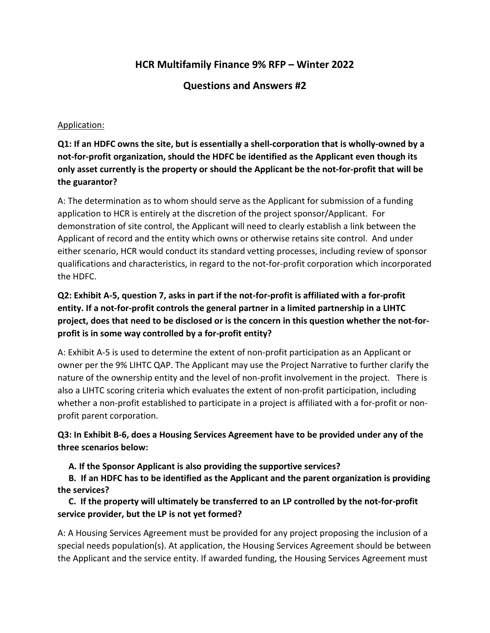# **HCR Multifamily Finance 9% RFP – Winter 2022**

### **Questions and Answers #2**

#### Application:

**Q1: If an HDFC owns the site, but is essentially a shell-corporation that is wholly-owned by a not-for-profit organization, should the HDFC be identified as the Applicant even though its only asset currently is the property or should the Applicant be the not-for-profit that will be the guarantor?**

A: The determination as to whom should serve as the Applicant for submission of a funding application to HCR is entirely at the discretion of the project sponsor/Applicant. For demonstration of site control, the Applicant will need to clearly establish a link between the Applicant of record and the entity which owns or otherwise retains site control. And under either scenario, HCR would conduct its standard vetting processes, including review of sponsor qualifications and characteristics, in regard to the not-for-profit corporation which incorporated the HDFC.

# **Q2: Exhibit A-5, question 7, asks in part if the not-for-profit is affiliated with a for-profit entity. If a not-for-profit controls the general partner in a limited partnership in a LIHTC project, does that need to be disclosed or is the concern in this question whether the not-forprofit is in some way controlled by a for-profit entity?**

A: Exhibit A-5 is used to determine the extent of non-profit participation as an Applicant or owner per the 9% LIHTC QAP. The Applicant may use the Project Narrative to further clarify the nature of the ownership entity and the level of non-profit involvement in the project. There is also a LIHTC scoring criteria which evaluates the extent of non-profit participation, including whether a non-profit established to participate in a project is affiliated with a for-profit or nonprofit parent corporation.

**Q3: In Exhibit B-6, does a Housing Services Agreement have to be provided under any of the three scenarios below:**

 **A. If the Sponsor Applicant is also providing the supportive services?**

 **B. If an HDFC has to be identified as the Applicant and the parent organization is providing the services?**

 **C. If the property will ultimately be transferred to an LP controlled by the not-for-profit service provider, but the LP is not yet formed?**

A: A Housing Services Agreement must be provided for any project proposing the inclusion of a special needs population(s). At application, the Housing Services Agreement should be between the Applicant and the service entity. If awarded funding, the Housing Services Agreement must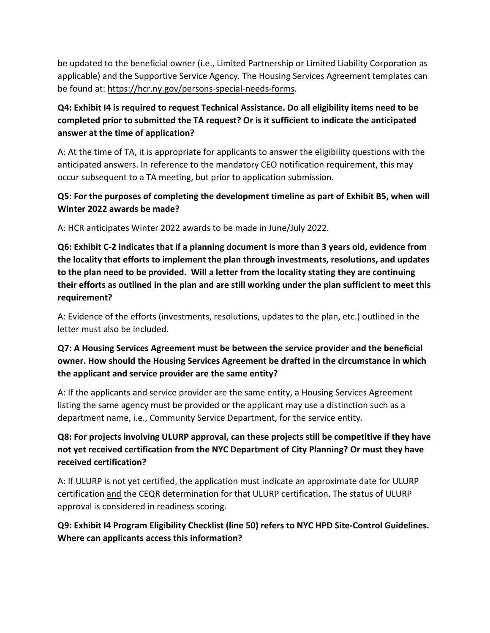be updated to the beneficial owner (i.e., Limited Partnership or Limited Liability Corporation as applicable) and the Supportive Service Agency. The Housing Services Agreement templates can be found at: [https://hcr.ny.gov/persons-special-needs-forms.](https://gcc02.safelinks.protection.outlook.com/?url=https%3A%2F%2Fhcr.ny.gov%2Fpersons-special-needs-forms&data=04%7C01%7C9%25RFP%40hcr.ny.gov%7Cd5cc617dd750479268f108d9fba18900%7Cf46cb8ea79004d108ceb80e8c1c81ee7%7C0%7C0%7C637817493462831518%7CUnknown%7CTWFpbGZsb3d8eyJWIjoiMC4wLjAwMDAiLCJQIjoiV2luMzIiLCJBTiI6Ik1haWwiLCJXVCI6Mn0%3D%7C3000&sdata=75eSFcuoDgPUj2OwCpuCIeEMDUv3Sln4oJWeiiUNgdA%3D&reserved=0)

# **Q4: Exhibit I4 is required to request Technical Assistance. Do all eligibility items need to be completed prior to submitted the TA request? Or is it sufficient to indicate the anticipated answer at the time of application?**

A: At the time of TA, it is appropriate for applicants to answer the eligibility questions with the anticipated answers. In reference to the mandatory CEO notification requirement, this may occur subsequent to a TA meeting, but prior to application submission.

### **Q5: For the purposes of completing the development timeline as part of Exhibit B5, when will Winter 2022 awards be made?**

A: HCR anticipates Winter 2022 awards to be made in June/July 2022.

**Q6: Exhibit C-2 indicates that if a planning document is more than 3 years old, evidence from the locality that efforts to implement the plan through investments, resolutions, and updates to the plan need to be provided. Will a letter from the locality stating they are continuing their efforts as outlined in the plan and are still working under the plan sufficient to meet this requirement?**

A: Evidence of the efforts (investments, resolutions, updates to the plan, etc.) outlined in the letter must also be included.

## **Q7: A Housing Services Agreement must be between the service provider and the beneficial owner. How should the Housing Services Agreement be drafted in the circumstance in which the applicant and service provider are the same entity?**

A: If the applicants and service provider are the same entity, a Housing Services Agreement listing the same agency must be provided or the applicant may use a distinction such as a department name, i.e., Community Service Department, for the service entity.

# **Q8: For projects involving ULURP approval, can these projects still be competitive if they have not yet received certification from the NYC Department of City Planning? Or must they have received certification?**

A: If ULURP is not yet certified, the application must indicate an approximate date for ULURP certification and the CEQR determination for that ULURP certification. The status of ULURP approval is considered in readiness scoring.

## **Q9: Exhibit I4 Program Eligibility Checklist (line 50) refers to NYC HPD Site-Control Guidelines. Where can applicants access this information?**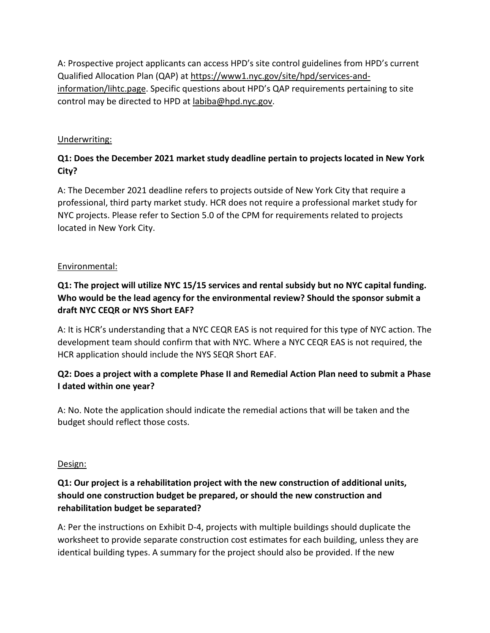A: Prospective project applicants can access HPD's site control guidelines from HPD's current Qualified Allocation Plan (QAP) at [https://www1.nyc.gov/site/hpd/services-and](https://gcc02.safelinks.protection.outlook.com/?url=https%3A%2F%2Fwww1.nyc.gov%2Fsite%2Fhpd%2Fservices-and-information%2Flihtc.page&data=04%7C01%7CKristen.Slaiman%40hcr.ny.gov%7C86de2adb94a24317edb908d9fe114f1a%7Cf46cb8ea79004d108ceb80e8c1c81ee7%7C0%7C0%7C637820172554455398%7CUnknown%7CTWFpbGZsb3d8eyJWIjoiMC4wLjAwMDAiLCJQIjoiV2luMzIiLCJBTiI6Ik1haWwiLCJXVCI6Mn0%3D%7C3000&sdata=ekhPaOY0VRYhBUhXvla2cwoWhtTMGpED%2BsC3cfu5cPU%3D&reserved=0)[information/lihtc.page.](https://gcc02.safelinks.protection.outlook.com/?url=https%3A%2F%2Fwww1.nyc.gov%2Fsite%2Fhpd%2Fservices-and-information%2Flihtc.page&data=04%7C01%7CKristen.Slaiman%40hcr.ny.gov%7C86de2adb94a24317edb908d9fe114f1a%7Cf46cb8ea79004d108ceb80e8c1c81ee7%7C0%7C0%7C637820172554455398%7CUnknown%7CTWFpbGZsb3d8eyJWIjoiMC4wLjAwMDAiLCJQIjoiV2luMzIiLCJBTiI6Ik1haWwiLCJXVCI6Mn0%3D%7C3000&sdata=ekhPaOY0VRYhBUhXvla2cwoWhtTMGpED%2BsC3cfu5cPU%3D&reserved=0) Specific questions about HPD's QAP requirements pertaining to site control may be directed to HPD at [labiba@hpd.nyc.gov.](mailto:labiba@hpd.nyc.gov)

### Underwriting:

## **Q1: Does the December 2021 market study deadline pertain to projects located in New York City?**

A: The December 2021 deadline refers to projects outside of New York City that require a professional, third party market study. HCR does not require a professional market study for NYC projects. Please refer to Section 5.0 of the CPM for requirements related to projects located in New York City.

### Environmental:

# **Q1: The project will utilize NYC 15/15 services and rental subsidy but no NYC capital funding. Who would be the lead agency for the environmental review? Should the sponsor submit a draft NYC CEQR or NYS Short EAF?**

A: It is HCR's understanding that a NYC CEQR EAS is not required for this type of NYC action. The development team should confirm that with NYC. Where a NYC CEQR EAS is not required, the HCR application should include the NYS SEQR Short EAF.

### **Q2: Does a project with a complete Phase II and Remedial Action Plan need to submit a Phase I dated within one year?**

A: No. Note the application should indicate the remedial actions that will be taken and the budget should reflect those costs.

#### Design:

## **Q1: Our project is a rehabilitation project with the new construction of additional units, should one construction budget be prepared, or should the new construction and rehabilitation budget be separated?**

A: Per the instructions on Exhibit D-4, projects with multiple buildings should duplicate the worksheet to provide separate construction cost estimates for each building, unless they are identical building types. A summary for the project should also be provided. If the new